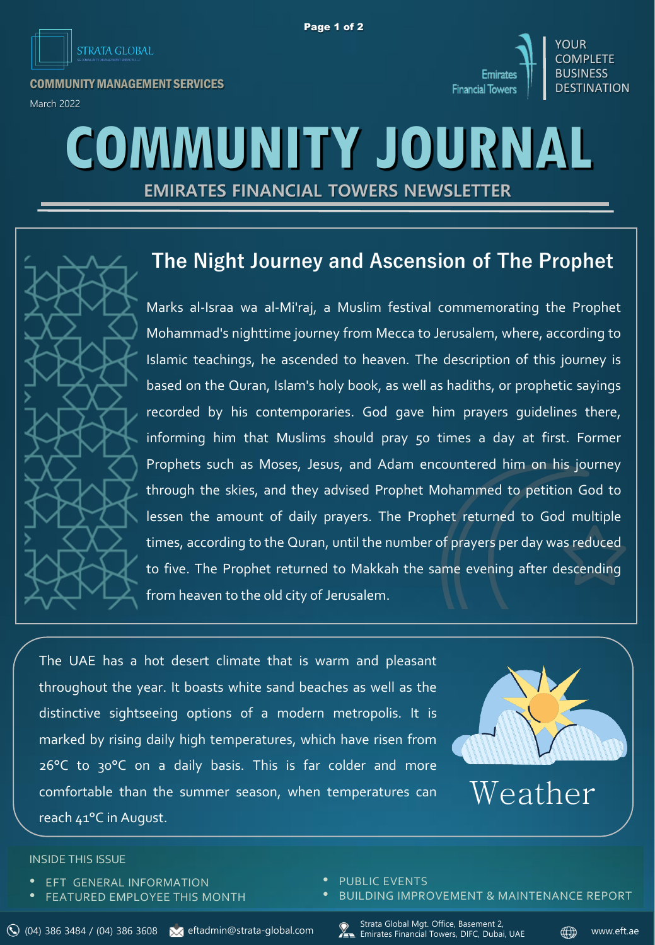



COMMUNITY MANAGEMENT SERVICES





# **COMMUNITY JOURNAL**

**EMIRATES FINANCIAL TOWERS NEWSLETTER**



## **The Night Journey and Ascension of The Prophet**

Marks al-Israa wa al-Mi'raj, a Muslim festival commemorating the Prophet Mohammad's nighttime journey from Mecca to Jerusalem, where, according to Islamic teachings, he ascended to heaven. The description of this journey is based on the Quran, Islam's holy book, as well as hadiths, or prophetic sayings recorded by his contemporaries. God gave him prayers guidelines there, informing him that Muslims should pray 50 times a day at first. Former Prophets such as Moses, Jesus, and Adam encountered him on his journey through the skies, and they advised Prophet Mohammed to petition God to lessen the amount of daily prayers. The Prophet returned to God multiple times, according to the Quran, until the number of prayers per day was reduced to five. The Prophet returned to Makkah the same evening after descending from heaven to the old city of Jerusalem.

The UAE has a hot desert climate that is warm and pleasant throughout the year. It boasts white sand beaches as well as the distinctive sightseeing options of a modern metropolis. It is marked by rising daily high temperatures, which have risen from 26°C to 30°C on a daily basis. This is far colder and more comfortable than the summer season, when temperatures can reach 41°C in August.



Weather

#### INSIDE THIS ISSUE

- **EFT GENERAL INFORMATION**
- **FEATURED EMPLOYEE THIS MONTH**
- PUBLIC EVENTS
- BUILDING IMPROVEMENT & MAINTENANCE REPORT